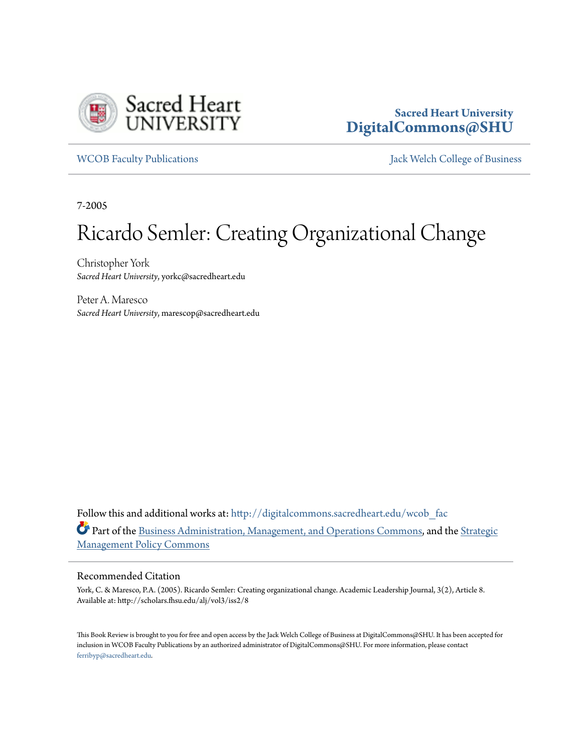

## **Sacred Heart University [DigitalCommons@SHU](http://digitalcommons.sacredheart.edu?utm_source=digitalcommons.sacredheart.edu%2Fwcob_fac%2F450&utm_medium=PDF&utm_campaign=PDFCoverPages)**

[WCOB Faculty Publications](http://digitalcommons.sacredheart.edu/wcob_fac?utm_source=digitalcommons.sacredheart.edu%2Fwcob_fac%2F450&utm_medium=PDF&utm_campaign=PDFCoverPages) [Jack Welch College of Business](http://digitalcommons.sacredheart.edu/wcob?utm_source=digitalcommons.sacredheart.edu%2Fwcob_fac%2F450&utm_medium=PDF&utm_campaign=PDFCoverPages)

7-2005

# Ricardo Semler: Creating Organizational Change

Christopher York *Sacred Heart University*, yorkc@sacredheart.edu

Peter A. Maresco *Sacred Heart University*, marescop@sacredheart.edu

Follow this and additional works at: [http://digitalcommons.sacredheart.edu/wcob\\_fac](http://digitalcommons.sacredheart.edu/wcob_fac?utm_source=digitalcommons.sacredheart.edu%2Fwcob_fac%2F450&utm_medium=PDF&utm_campaign=PDFCoverPages) Part of the [Business Administration, Management, and Operations Commons](http://network.bepress.com/hgg/discipline/623?utm_source=digitalcommons.sacredheart.edu%2Fwcob_fac%2F450&utm_medium=PDF&utm_campaign=PDFCoverPages), and the [Strategic](http://network.bepress.com/hgg/discipline/642?utm_source=digitalcommons.sacredheart.edu%2Fwcob_fac%2F450&utm_medium=PDF&utm_campaign=PDFCoverPages) [Management Policy Commons](http://network.bepress.com/hgg/discipline/642?utm_source=digitalcommons.sacredheart.edu%2Fwcob_fac%2F450&utm_medium=PDF&utm_campaign=PDFCoverPages)

#### Recommended Citation

York, C. & Maresco, P.A. (2005). Ricardo Semler: Creating organizational change. Academic Leadership Journal, 3(2), Article 8. Available at: http://scholars.fhsu.edu/alj/vol3/iss2/8

This Book Review is brought to you for free and open access by the Jack Welch College of Business at DigitalCommons@SHU. It has been accepted for inclusion in WCOB Faculty Publications by an authorized administrator of DigitalCommons@SHU. For more information, please contact [ferribyp@sacredheart.edu](mailto:ferribyp@sacredheart.edu).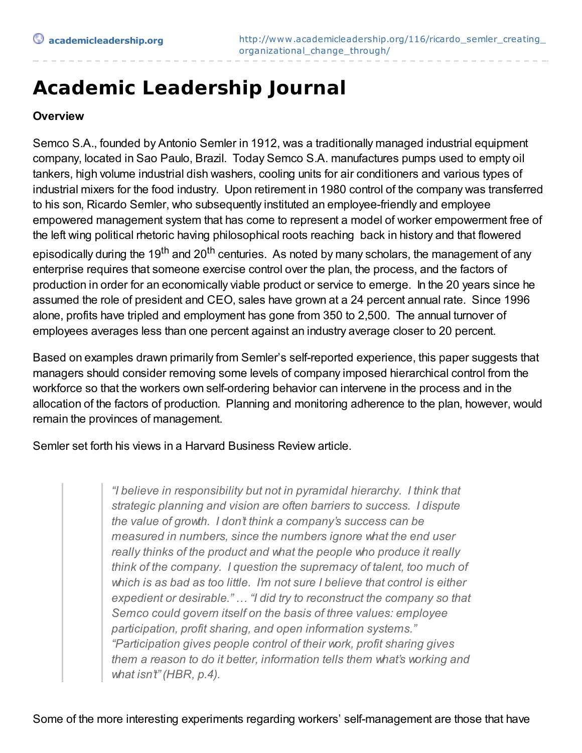## **Academic Leadership Journal**

### **Overview**

Semco S.A., founded by Antonio Semler in 1912, was a traditionally managed industrial equipment company, located in Sao Paulo, Brazil. Today Semco S.A. manufactures pumps used to empty oil tankers, high volume industrial dish washers, cooling units for air conditioners and various types of industrial mixers for the food industry. Upon retirement in 1980 control of the company was transferred to his son, Ricardo Semler, who subsequently instituted an employee-friendly and employee empowered management system that has come to represent a model of worker empowerment free of the left wing political rhetoric having philosophical roots reaching back in history and that flowered episodically during the 19<sup>th</sup> and 20<sup>th</sup> centuries. As noted by many scholars, the management of any enterprise requires that someone exercise control over the plan, the process, and the factors of production in order for an economically viable product or service to emerge. In the 20 years since he assumed the role of president and CEO, sales have grown at a 24 percent annual rate. Since 1996 alone, profits have tripled and employment has gone from 350 to 2,500. The annual turnover of employees averages less than one percent against an industry average closer to 20 percent.

Based on examples drawn primarily from Semler's self-reported experience, this paper suggests that managers should consider removing some levels of company imposed hierarchical control from the workforce so that the workers own self-ordering behavior can intervene in the process and in the allocation of the factors of production. Planning and monitoring adherence to the plan, however, would remain the provinces of management.

Semler set forth his views in a Harvard Business Review article.

*"I believe in responsibility but not in pyramidal hierarchy. I think that strategic planning and vision are often barriers to success. I dispute the value of growth. I don't think a company's success can be measured in numbers, since the numbers ignore what the end user really thinks of the product and what the people who produce it really think of the company. I question the supremacy of talent, too much of which is as bad as too little. I'm not sure I believe that control is either expedient or desirable." … "I did try to reconstruct the company so that Semco could govern itself on the basis of three values: employee participation, profit sharing, and open information systems." "Participation gives people control of their work, profit sharing gives them a reason to do it better, information tells them what's working and what isn't" (HBR, p.4).*